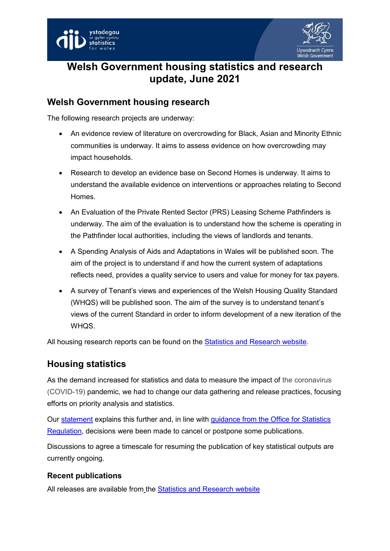



# **Welsh Government housing statistics and research update, June 2021**

## **Welsh Government housing research**

The following research projects are underway:

- An evidence review of literature on overcrowding for Black, Asian and Minority Ethnic communities is underway. It aims to assess evidence on how overcrowding may impact households.
- Research to develop an evidence base on Second Homes is underway. It aims to understand the available evidence on interventions or approaches relating to Second Homes.
- An Evaluation of the Private Rented Sector (PRS) Leasing Scheme Pathfinders is underway. The aim of the evaluation is to understand how the scheme is operating in the Pathfinder local authorities, including the views of landlords and tenants.
- A Spending Analysis of Aids and Adaptations in Wales will be published soon. The aim of the project is to understand if and how the current system of adaptations reflects need, provides a quality service to users and value for money for tax payers.
- A survey of Tenant's views and experiences of the Welsh Housing Quality Standard (WHQS) will be published soon. The aim of the survey is to understand tenant's views of the current Standard in order to inform development of a new iteration of the WHQS.

All housing research reports can be found on the [Statistics and Research website.](https://gov.wales/statistics-and-research)

### **Housing statistics**

As the demand increased for statistics and data to measure the impact of the coronavirus (COVID-19) pandemic, we had to change our data gathering and release practices, focusing efforts on priority analysis and statistics.

Our [statement](https://digitalanddata.blog.gov.wales/2020/12/08/chief-statisticians-update-meeting-user-needs-during-a-pandemic/) explains this further and, in line with [guidance from the Office for Statistics](https://eur01.safelinks.protection.outlook.com/?url=https%3A%2F%2Fwww.statisticsauthority.gov.uk%2Fcovid-19-and-the-regulation-of-statistics%2F&data=02%7C01%7CLuned.Jones%40gov.wales%7Ca3b9728fa304472744a508d83857133e%7Ca2cc36c592804ae78887d06dab89216b%7C0%7C0%7C637321293913135294&sdata=koL%2FmP7k57groKyeSZD9sajvJyBTNF8aY9FZR9531UU%3D&reserved=0)  [Regulation,](https://eur01.safelinks.protection.outlook.com/?url=https%3A%2F%2Fwww.statisticsauthority.gov.uk%2Fcovid-19-and-the-regulation-of-statistics%2F&data=02%7C01%7CLuned.Jones%40gov.wales%7Ca3b9728fa304472744a508d83857133e%7Ca2cc36c592804ae78887d06dab89216b%7C0%7C0%7C637321293913135294&sdata=koL%2FmP7k57groKyeSZD9sajvJyBTNF8aY9FZR9531UU%3D&reserved=0) decisions were been made to cancel or postpone some publications.

Discussions to agree a timescale for resuming the publication of key statistical outputs are currently ongoing.

#### **Recent publications**

All releases are available from the [Statistics and Research website](https://gov.wales/statistics-and-research)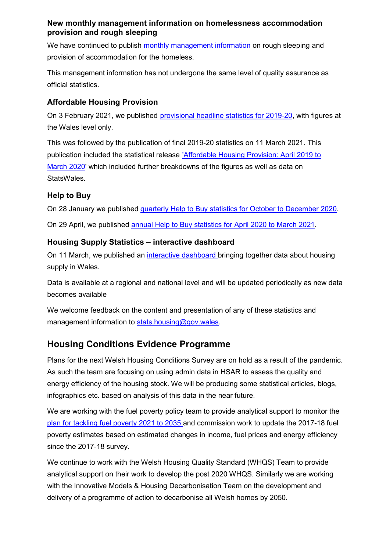#### **New monthly management information on homelessness accommodation provision and rough sleeping**

We have continued to publish [monthly management information](https://gov.wales/homelessness-accommodation-provision-and-rough-sleeping) on rough sleeping and provision of accommodation for the homeless.

This management information has not undergone the same level of quality assurance as official statistics.

#### **Affordable Housing Provision**

On 3 February 2021, we published [provisional headline statistics for 2019-20,](https://gov.wales/affordable-housing-provision-april-2019-march-2020-provisional) with figures at the Wales level only.

This was followed by the publication of final 2019-20 statistics on 11 March 2021. This publication included the statistical release ['Affordable Housing Provision: April 2019 to](https://gov.wales/affordable-housing-provision-april-2019-march-2020)  [March 2020'](https://gov.wales/affordable-housing-provision-april-2019-march-2020) which included further breakdowns of the figures as well as data on StatsWales.

#### **Help to Buy**

On 28 January we published [quarterly Help to Buy statistics for October to December 2020.](https://gov.wales/help-buy-wales-shared-equity-loan-scheme-october-december-2020)

On 29 April, we published [annual Help to Buy statistics for April 2020 to March 2021.](https://gov.wales/help-buy-wales-shared-equity-loan-scheme-april-2020-march-2021)

#### **Housing Supply Statistics – interactive dashboard**

On 11 March, we published an [interactive dashboard](https://gov.wales/housing-supply-statistics) bringing together data about housing supply in Wales.

Data is available at a regional and national level and will be updated periodically as new data becomes available

We welcome feedback on the content and presentation of any of these statistics and management information to [stats.housing@gov.wales.](mailto:stats.housing@gov.wales)

# **Housing Conditions Evidence Programme**

Plans for the next Welsh Housing Conditions Survey are on hold as a result of the pandemic. As such the team are focusing on using admin data in HSAR to assess the quality and energy efficiency of the housing stock. We will be producing some statistical articles, blogs, infographics etc. based on analysis of this data in the near future.

We are working with the fuel poverty policy team to provide analytical support to monitor the [plan for tackling fuel poverty 2021 to 2035 a](https://gov.wales/tackling-fuel-poverty-2021-2035)nd commission work to update the 2017-18 fuel poverty estimates based on estimated changes in income, fuel prices and energy efficiency since the 2017-18 survey.

We continue to work with the Welsh Housing Quality Standard (WHQS) Team to provide analytical support on their work to develop the post 2020 WHQS. Similarly we are working with the Innovative Models & Housing Decarbonisation Team on the development and delivery of a programme of action to decarbonise all Welsh homes by 2050.